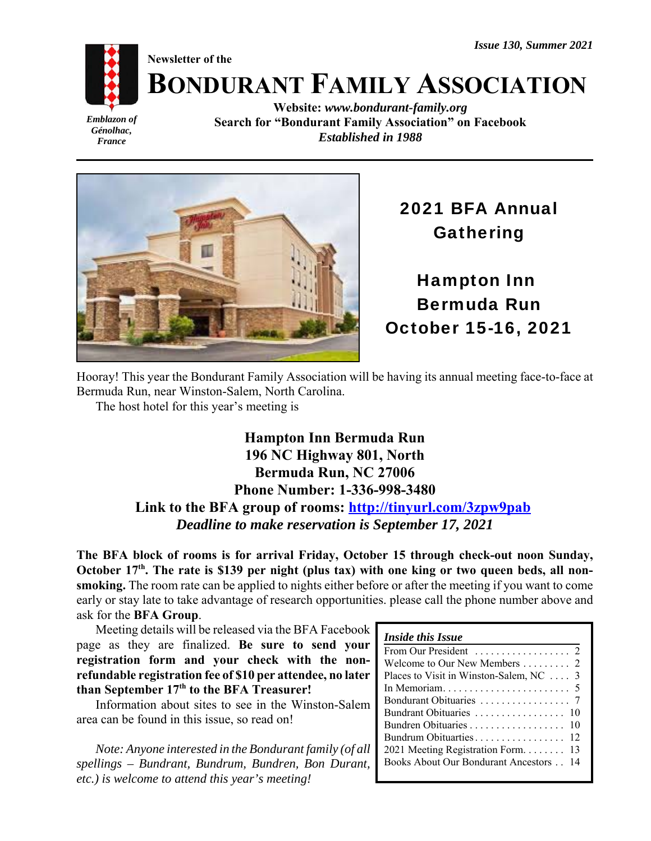*Issue 130, Summer 2021*

**Newsletter of the**



# **BONDURANT FAMILY ASSOCIATION**

*Emblazon of Génolhac, France*

**Website:** *www.bondurant-family.org* **Search for "Bondurant Family Association" on Facebook** *Established in 1988*



## 2021 BFA Annual Gathering

Hampton Inn Bermuda Run October 15-16, 2021

Hooray! This year the Bondurant Family Association will be having its annual meeting face-to-face at Bermuda Run, near Winston-Salem, North Carolina.

The host hotel for this year's meeting is

### **Hampton Inn Bermuda Run 196 NC Highway 801, North Bermuda Run, NC 27006 Phone Number: 1-336-998-3480 Link to the BFA group of rooms: http://tinyurl.com/3zpw9pab** *Deadline to make reservation is September 17, 2021*

**The BFA block of rooms is for arrival Friday, October 15 through check-out noon Sunday,** October 17<sup>th</sup>. The rate is \$139 per night (plus tax) with one king or two queen beds, all non**smoking.** The room rate can be applied to nights either before or after the meeting if you want to come early or stay late to take advantage of research opportunities. please call the phone number above and ask for the **BFA Group**.

Meeting details will be released via the BFA Facebook page as they are finalized. **Be sure to send your registration form and your check with the nonrefundable registration fee of \$10 per attendee, no later** than September 17<sup>th</sup> to the BFA Treasurer!

Information about sites to see in the Winston-Salem area can be found in this issue, so read on!

*Note: Anyone interested in the Bondurant family (of all spellings – Bundrant, Bundrum, Bundren, Bon Durant, etc.) is welcome to attend this year's meeting!*

| From Our President $\ldots \ldots \ldots \ldots$ 2 |  |
|----------------------------------------------------|--|
|                                                    |  |
| Places to Visit in Winston-Salem, NC $\ldots$ 3    |  |
|                                                    |  |
|                                                    |  |
|                                                    |  |
| Bundren Obituaries 10                              |  |
|                                                    |  |
| 2021 Meeting Registration Form 13                  |  |
| <b>Books About Our Bondurant Ancestors 14</b>      |  |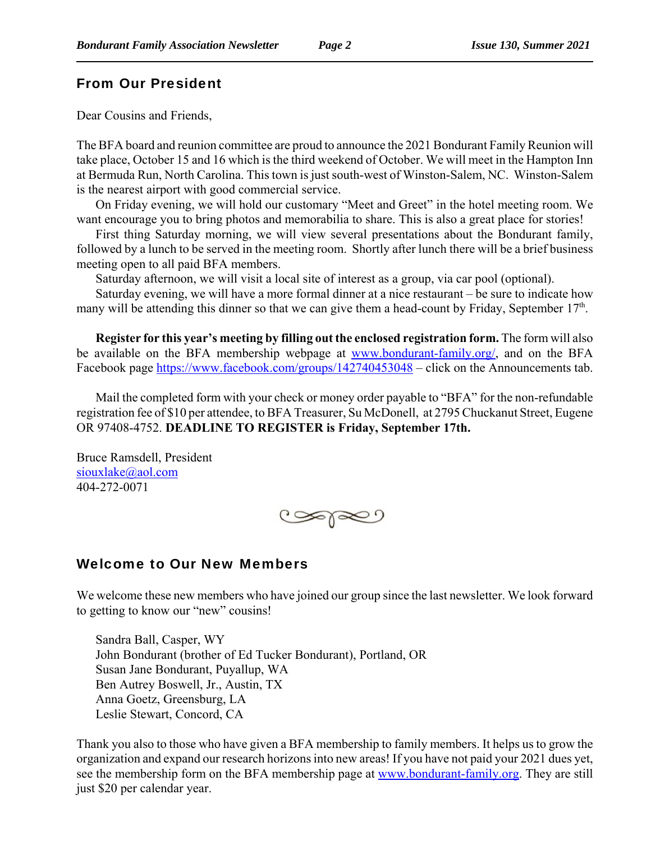#### From Our President

Dear Cousins and Friends,

The BFA board and reunion committee are proud to announce the 2021 Bondurant Family Reunion will take place, October 15 and 16 which is the third weekend of October. We will meet in the Hampton Inn at Bermuda Run, North Carolina. This town is just south-west of Winston-Salem, NC. Winston-Salem is the nearest airport with good commercial service.

On Friday evening, we will hold our customary "Meet and Greet" in the hotel meeting room. We want encourage you to bring photos and memorabilia to share. This is also a great place for stories!

First thing Saturday morning, we will view several presentations about the Bondurant family, followed by a lunch to be served in the meeting room. Shortly after lunch there will be a brief business meeting open to all paid BFA members.

Saturday afternoon, we will visit a local site of interest as a group, via car pool (optional).

Saturday evening, we will have a more formal dinner at a nice restaurant – be sure to indicate how many will be attending this dinner so that we can give them a head-count by Friday, September 17<sup>th</sup>.

**Register for this year's meeting by filling out the enclosed registration form.** The form will also be available on the BFA membership webpage at www.bondurant-family.org/, and on the BFA Facebook page https://www.facebook.com/groups/142740453048 – click on the Announcements tab.

Mail the completed form with your check or money order payable to "BFA" for the non-refundable registration fee of \$10 per attendee, to BFA Treasurer, Su McDonell, at 2795 Chuckanut Street, Eugene OR 97408-4752. **DEADLINE TO REGISTER is Friday, September 17th.**

Bruce Ramsdell, President siouxlake@aol.com 404-272-0071



#### Welcome to Our New Members

We welcome these new members who have joined our group since the last newsletter. We look forward to getting to know our "new" cousins!

Sandra Ball, Casper, WY John Bondurant (brother of Ed Tucker Bondurant), Portland, OR Susan Jane Bondurant, Puyallup, WA Ben Autrey Boswell, Jr., Austin, TX Anna Goetz, Greensburg, LA Leslie Stewart, Concord, CA

Thank you also to those who have given a BFA membership to family members. It helps us to grow the organization and expand our research horizons into new areas! If you have not paid your 2021 dues yet, see the membership form on the BFA membership page at www.bondurant-family.org. They are still just \$20 per calendar year.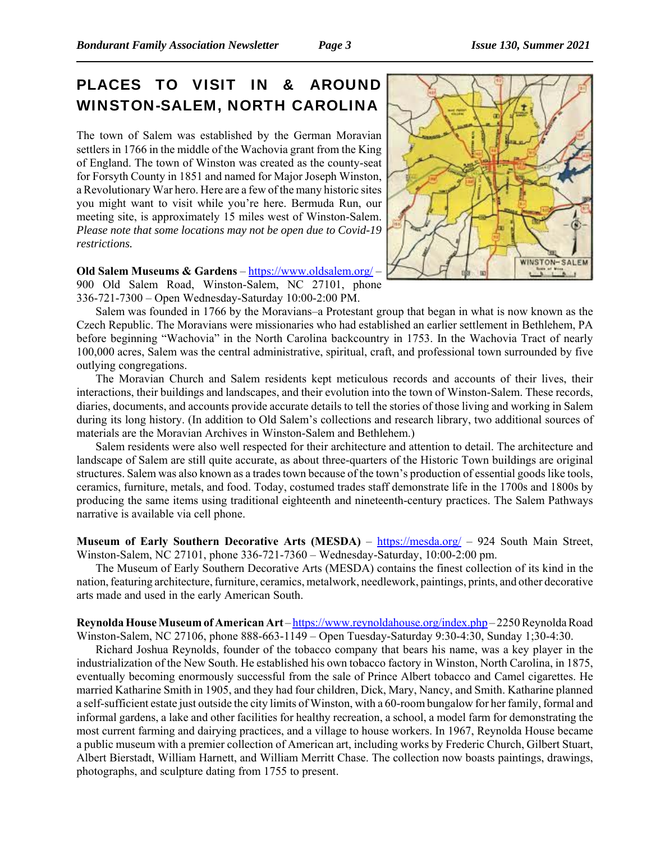### PLACES TO VISIT IN & AROUND WINSTON-SALEM, NORTH CAROLINA

The town of Salem was established by the German Moravian settlers in 1766 in the middle of the Wachovia grant from the King of England. The town of Winston was created as the county-seat for Forsyth County in 1851 and named for Major Joseph Winston, a Revolutionary War hero. Here are a few of the many historic sites you might want to visit while you're here. Bermuda Run, our meeting site, is approximately 15 miles west of Winston-Salem. *Please note that some locations may not be open due to Covid-19 restrictions.*



**Old Salem Museums & Gardens** – https://www.oldsalem.org/ – 900 Old Salem Road, Winston-Salem, NC 27101, phone 336-721-7300 – Open Wednesday-Saturday 10:00-2:00 PM.

Salem was founded in 1766 by the Moravians–a Protestant group that began in what is now known as the Czech Republic. The Moravians were missionaries who had established an earlier settlement in Bethlehem, PA before beginning "Wachovia" in the North Carolina backcountry in 1753. In the Wachovia Tract of nearly 100,000 acres, Salem was the central administrative, spiritual, craft, and professional town surrounded by five outlying congregations.

The Moravian Church and Salem residents kept meticulous records and accounts of their lives, their interactions, their buildings and landscapes, and their evolution into the town of Winston-Salem. These records, diaries, documents, and accounts provide accurate details to tell the stories of those living and working in Salem during its long history. (In addition to Old Salem's collections and research library, two additional sources of materials are the Moravian Archives in Winston-Salem and Bethlehem.)

Salem residents were also well respected for their architecture and attention to detail. The architecture and landscape of Salem are still quite accurate, as about three-quarters of the Historic Town buildings are original structures. Salem was also known as a trades town because of the town's production of essential goods like tools, ceramics, furniture, metals, and food. Today, costumed trades staff demonstrate life in the 1700s and 1800s by producing the same items using traditional eighteenth and nineteenth-century practices. The Salem Pathways narrative is available via cell phone.

**Museum of Early Southern Decorative Arts (MESDA)** – https://mesda.org/ – 924 South Main Street, Winston-Salem, NC 27101, phone 336-721-7360 – Wednesday-Saturday, 10:00-2:00 pm.

The Museum of Early Southern Decorative Arts (MESDA) contains the finest collection of its kind in the nation, featuring architecture, furniture, ceramics, metalwork, needlework, paintings, prints, and other decorative arts made and used in the early American South.

**Reynolda House Museum of American Art** – https://www.reynoldahouse.org/index.php – 2250 Reynolda Road Winston-Salem, NC 27106, phone 888-663-1149 – Open Tuesday-Saturday 9:30-4:30, Sunday 1;30-4:30.

Richard Joshua Reynolds, founder of the tobacco company that bears his name, was a key player in the industrialization of the New South. He established his own tobacco factory in Winston, North Carolina, in 1875, eventually becoming enormously successful from the sale of Prince Albert tobacco and Camel cigarettes. He married Katharine Smith in 1905, and they had four children, Dick, Mary, Nancy, and Smith. Katharine planned a self-sufficient estate just outside the city limits of Winston, with a 60-room bungalow for her family, formal and informal gardens, a lake and other facilities for healthy recreation, a school, a model farm for demonstrating the most current farming and dairying practices, and a village to house workers. In 1967, Reynolda House became a public museum with a premier collection of American art, including works by Frederic Church, Gilbert Stuart, Albert Bierstadt, William Harnett, and William Merritt Chase. The collection now boasts paintings, drawings, photographs, and sculpture dating from 1755 to present.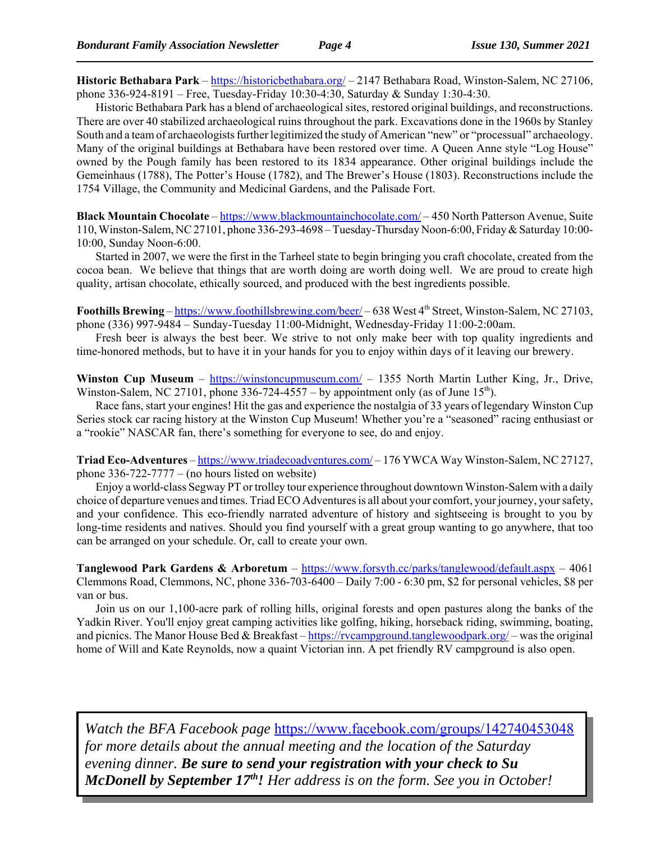**Historic Bethabara Park** – https://historicbethabara.org/ – 2147 Bethabara Road, Winston-Salem, NC 27106, phone 336-924-8191 – Free, Tuesday-Friday 10:30-4:30, Saturday & Sunday 1:30-4:30.

Historic Bethabara Park has a blend of archaeological sites, restored original buildings, and reconstructions. There are over 40 stabilized archaeological ruins throughout the park. Excavations done in the 1960s by Stanley South and a team of archaeologists further legitimized the study of American "new" or "processual" archaeology. Many of the original buildings at Bethabara have been restored over time. A Queen Anne style "Log House" owned by the Pough family has been restored to its 1834 appearance. Other original buildings include the Gemeinhaus (1788), The Potter's House (1782), and The Brewer's House (1803). Reconstructions include the 1754 Village, the Community and Medicinal Gardens, and the Palisade Fort.

**Black Mountain Chocolate** – https://www.blackmountainchocolate.com/ – 450 North Patterson Avenue, Suite 110, Winston-Salem, NC 27101, phone 336-293-4698 – Tuesday-Thursday Noon-6:00, Friday & Saturday 10:00- 10:00, Sunday Noon-6:00.

Started in 2007, we were the first in the Tarheel state to begin bringing you craft chocolate, created from the cocoa bean. We believe that things that are worth doing are worth doing well. We are proud to create high quality, artisan chocolate, ethically sourced, and produced with the best ingredients possible.

**Foothills Brewing** – https://www.foothillsbrewing.com/beer/ – 638 West 4<sup>th</sup> Street, Winston-Salem, NC 27103, phone (336) 997-9484 – Sunday-Tuesday 11:00-Midnight, Wednesday-Friday 11:00-2:00am.

Fresh beer is always the best beer. We strive to not only make beer with top quality ingredients and time-honored methods, but to have it in your hands for you to enjoy within days of it leaving our brewery.

**Winston Cup Museum** – https://winstoncupmuseum.com/ – 1355 North Martin Luther King, Jr., Drive, Winston-Salem, NC 27101, phone 336-724-4557 – by appointment only (as of June 15<sup>th</sup>).

Race fans, start your engines! Hit the gas and experience the nostalgia of 33 years of legendary Winston Cup Series stock car racing history at the Winston Cup Museum! Whether you're a "seasoned" racing enthusiast or a "rookie" NASCAR fan, there's something for everyone to see, do and enjoy.

**Triad Eco-Adventures** – https://www.triadecoadventures.com/ – 176 YWCA Way Winston-Salem, NC 27127, phone  $336-722-7777 -$  (no hours listed on website)

Enjoy a world-class Segway PT or trolley tour experience throughout downtown Winston-Salem with a daily choice of departure venues and times. Triad ECO Adventures is all about your comfort, your journey, your safety, and your confidence. This eco-friendly narrated adventure of history and sightseeing is brought to you by long-time residents and natives. Should you find yourself with a great group wanting to go anywhere, that too can be arranged on your schedule. Or, call to create your own.

**Tanglewood Park Gardens & Arboretum** – https://www.forsyth.cc/parks/tanglewood/default.aspx – 4061 Clemmons Road, Clemmons, NC, phone 336-703-6400 – Daily 7:00 - 6:30 pm, \$2 for personal vehicles, \$8 per van or bus.

Join us on our 1,100-acre park of rolling hills, original forests and open pastures along the banks of the Yadkin River. You'll enjoy great camping activities like golfing, hiking, horseback riding, swimming, boating, and picnics. The Manor House Bed & Breakfast – https://rvcampground.tanglewoodpark.org/ – was the original home of Will and Kate Reynolds, now a quaint Victorian inn. A pet friendly RV campground is also open.

*Watch the BFA Facebook page* https://www.facebook.com/groups/142740453048 *for more details about the annual meeting and the location of the Saturday evening dinner. Be sure to send your registration with your check to Su McDonell by September 17th! Her address is on the form. See you in October!*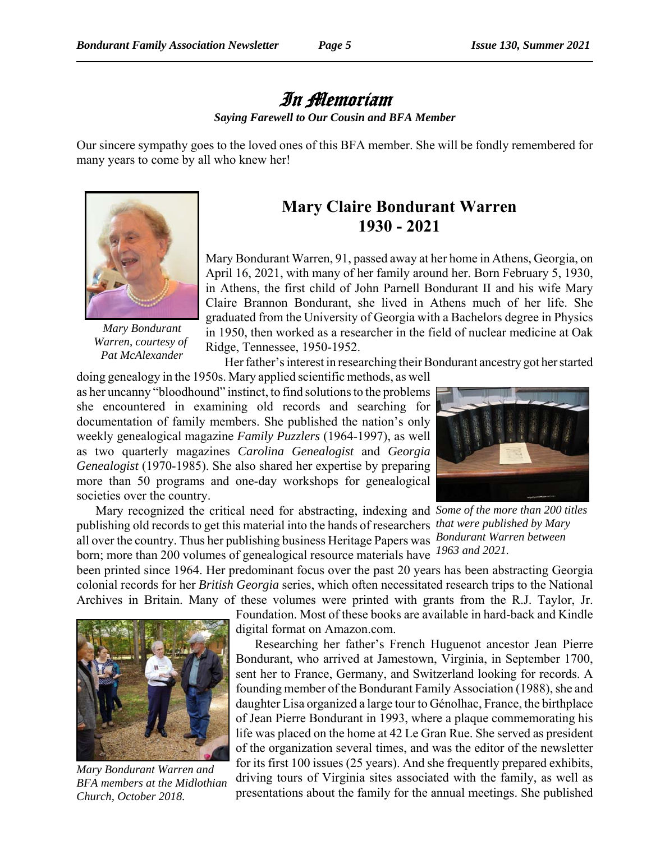## In Memoriam

*Saying Farewell to Our Cousin and BFA Member*

Our sincere sympathy goes to the loved ones of this BFA member. She will be fondly remembered for many years to come by all who knew her!



*Mary Bondurant Warren, courtesy of Pat McAlexander*

## **Mary Claire Bondurant Warren 1930 - 2021**

Mary Bondurant Warren, 91, passed away at her home in Athens, Georgia, on April 16, 2021, with many of her family around her. Born February 5, 1930, in Athens, the first child of John Parnell Bondurant II and his wife Mary Claire Brannon Bondurant, she lived in Athens much of her life. She graduated from the University of Georgia with a Bachelors degree in Physics in 1950, then worked as a researcher in the field of nuclear medicine at Oak Ridge, Tennessee, 1950-1952.

Her father's interest in researching their Bondurant ancestry got her started

doing genealogy in the 1950s. Mary applied scientific methods, as well as her uncanny "bloodhound" instinct, to find solutions to the problems she encountered in examining old records and searching for documentation of family members. She published the nation's only weekly genealogical magazine *Family Puzzlers* (1964-1997), as well as two quarterly magazines *Carolina Genealogist* and *Georgia Genealogist* (1970-1985). She also shared her expertise by preparing more than 50 programs and one-day workshops for genealogical societies over the country.



Mary recognized the critical need for abstracting, indexing and Some of the more than 200 titles publishing old records to get this material into the hands of researchers *that were published by Mary Bondurant Warren between* all over the country. Thus her publishing business Heritage Papers was born; more than 200 volumes of genealogical resource materials have <sup>1963</sup> and 2021.

been printed since 1964. Her predominant focus over the past 20 years has been abstracting Georgia colonial records for her *British Georgia* series, which often necessitated research trips to the National Archives in Britain. Many of these volumes were printed with grants from the R.J. Taylor, Jr.



*Mary Bondurant Warren and BFA members at the Midlothian Church, October 2018.*

Foundation. Most of these books are available in hard-back and Kindle digital format on Amazon.com.

Researching her father's French Huguenot ancestor Jean Pierre Bondurant, who arrived at Jamestown, Virginia, in September 1700, sent her to France, Germany, and Switzerland looking for records. A founding member of the Bondurant Family Association (1988), she and daughter Lisa organized a large tour to Génolhac, France, the birthplace of Jean Pierre Bondurant in 1993, where a plaque commemorating his life was placed on the home at 42 Le Gran Rue. She served as president of the organization several times, and was the editor of the newsletter for its first 100 issues (25 years). And she frequently prepared exhibits, driving tours of Virginia sites associated with the family, as well as presentations about the family for the annual meetings. She published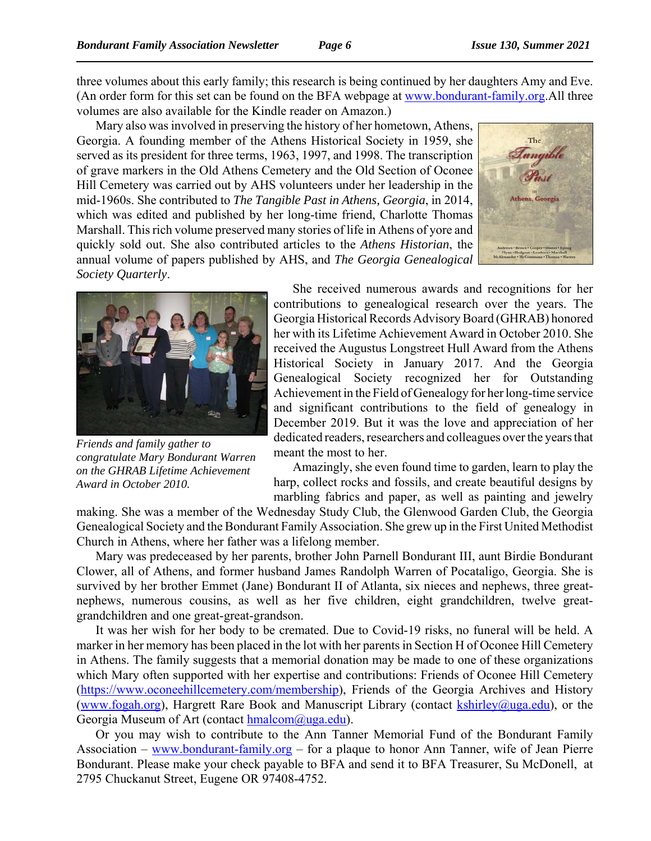three volumes about this early family; this research is being continued by her daughters Amy and Eve. (An order form for this set can be found on the BFA webpage at www.bondurant-family.org.All three volumes are also available for the Kindle reader on Amazon.)

Mary also was involved in preserving the history of her hometown, Athens, Georgia. A founding member of the Athens Historical Society in 1959, she served as its president for three terms, 1963, 1997, and 1998. The transcription of grave markers in the Old Athens Cemetery and the Old Section of Oconee Hill Cemetery was carried out by AHS volunteers under her leadership in the mid-1960s. She contributed to *The Tangible Past in Athens, Georgia*, in 2014, which was edited and published by her long-time friend, Charlotte Thomas Marshall. This rich volume preserved many stories of life in Athens of yore and quickly sold out. She also contributed articles to the *Athens Historian*, the annual volume of papers published by AHS, and *The Georgia Genealogical Society Quarterly*.





*Friends and family gather to congratulate Mary Bondurant Warren on the GHRAB Lifetime Achievement Award in October 2010.*

She received numerous awards and recognitions for her contributions to genealogical research over the years. The Georgia Historical Records Advisory Board (GHRAB) honored her with its Lifetime Achievement Award in October 2010. She received the Augustus Longstreet Hull Award from the Athens Historical Society in January 2017. And the Georgia Genealogical Society recognized her for Outstanding Achievement in the Field of Genealogy for her long-time service and significant contributions to the field of genealogy in December 2019. But it was the love and appreciation of her dedicated readers, researchers and colleagues over the years that meant the most to her.

Amazingly, she even found time to garden, learn to play the harp, collect rocks and fossils, and create beautiful designs by marbling fabrics and paper, as well as painting and jewelry

making. She was a member of the Wednesday Study Club, the Glenwood Garden Club, the Georgia Genealogical Society and the Bondurant Family Association. She grew up in the First United Methodist Church in Athens, where her father was a lifelong member.

Mary was predeceased by her parents, brother John Parnell Bondurant III, aunt Birdie Bondurant Clower, all of Athens, and former husband James Randolph Warren of Pocataligo, Georgia. She is survived by her brother Emmet (Jane) Bondurant II of Atlanta, six nieces and nephews, three greatnephews, numerous cousins, as well as her five children, eight grandchildren, twelve greatgrandchildren and one great-great-grandson.

It was her wish for her body to be cremated. Due to Covid-19 risks, no funeral will be held. A marker in her memory has been placed in the lot with her parents in Section H of Oconee Hill Cemetery in Athens. The family suggests that a memorial donation may be made to one of these organizations which Mary often supported with her expertise and contributions: Friends of Oconee Hill Cemetery (https://www.oconeehillcemetery.com/membership), Friends of the Georgia Archives and History (www.fogah.org), Hargrett Rare Book and Manuscript Library (contact  $\frac{k\text{shirley}(a)uga.edu}{k\text{shirley}(a)uga.edu}$ ), or the Georgia Museum of Art (contact  $h$ malcom $\omega$ uga.edu).

Or you may wish to contribute to the Ann Tanner Memorial Fund of the Bondurant Family Association – www.bondurant-family.org – for a plaque to honor Ann Tanner, wife of Jean Pierre Bondurant. Please make your check payable to BFA and send it to BFA Treasurer, Su McDonell, at 2795 Chuckanut Street, Eugene OR 97408-4752.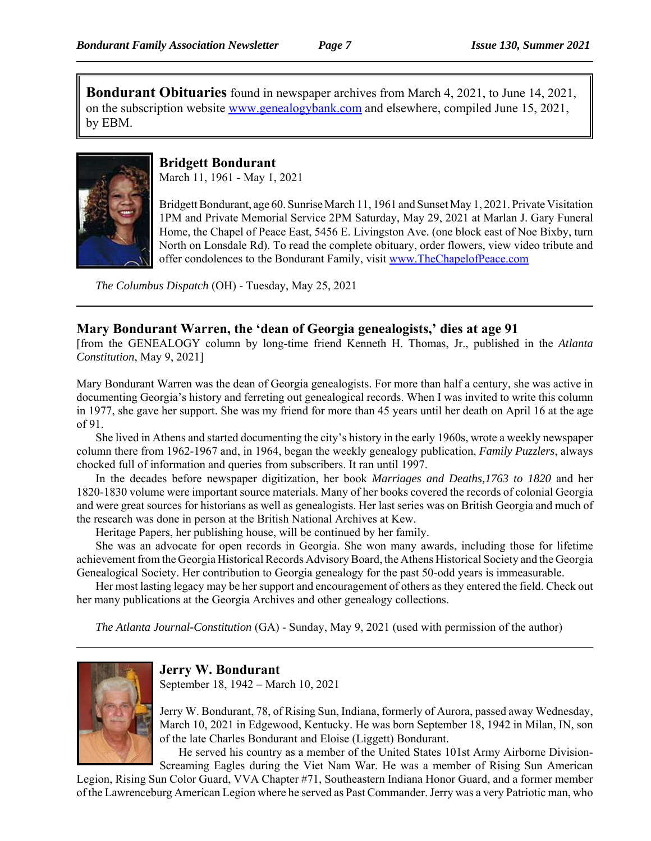**Bondurant Obituaries** found in newspaper archives from March 4, 2021, to June 14, 2021, on the subscription website www.genealogybank.com and elsewhere, compiled June 15, 2021, by EBM.



#### **Bridgett Bondurant**

March 11, 1961 - May 1, 2021

Bridgett Bondurant, age 60. Sunrise March 11, 1961 and Sunset May 1, 2021. Private Visitation 1PM and Private Memorial Service 2PM Saturday, May 29, 2021 at Marlan J. Gary Funeral Home, the Chapel of Peace East, 5456 E. Livingston Ave. (one block east of Noe Bixby, turn North on Lonsdale Rd). To read the complete obituary, order flowers, view video tribute and offer condolences to the Bondurant Family, visit www.TheChapelofPeace.com

*The Columbus Dispatch* (OH) - Tuesday, May 25, 2021

#### **Mary Bondurant Warren, the 'dean of Georgia genealogists,' dies at age 91**

[from the GENEALOGY column by long-time friend Kenneth H. Thomas, Jr., published in the *Atlanta Constitution*, May 9, 2021]

Mary Bondurant Warren was the dean of Georgia genealogists. For more than half a century, she was active in documenting Georgia's history and ferreting out genealogical records. When I was invited to write this column in 1977, she gave her support. She was my friend for more than 45 years until her death on April 16 at the age of 91.

She lived in Athens and started documenting the city's history in the early 1960s, wrote a weekly newspaper column there from 1962-1967 and, in 1964, began the weekly genealogy publication, *Family Puzzlers*, always chocked full of information and queries from subscribers. It ran until 1997.

In the decades before newspaper digitization, her book *Marriages and Deaths,1763 to 1820* and her 1820-1830 volume were important source materials. Many of her books covered the records of colonial Georgia and were great sources for historians as well as genealogists. Her last series was on British Georgia and much of the research was done in person at the British National Archives at Kew.

Heritage Papers, her publishing house, will be continued by her family.

She was an advocate for open records in Georgia. She won many awards, including those for lifetime achievement from the Georgia Historical Records Advisory Board, the Athens Historical Society and the Georgia Genealogical Society. Her contribution to Georgia genealogy for the past 50-odd years is immeasurable.

Her most lasting legacy may be her support and encouragement of others as they entered the field. Check out her many publications at the Georgia Archives and other genealogy collections.

*The Atlanta Journal-Constitution* (GA) - Sunday, May 9, 2021 (used with permission of the author)



**Jerry W. Bondurant**

September 18, 1942 – March 10, 2021

Jerry W. Bondurant, 78, of Rising Sun, Indiana, formerly of Aurora, passed away Wednesday, March 10, 2021 in Edgewood, Kentucky. He was born September 18, 1942 in Milan, IN, son of the late Charles Bondurant and Eloise (Liggett) Bondurant.

He served his country as a member of the United States 101st Army Airborne Division-Screaming Eagles during the Viet Nam War. He was a member of Rising Sun American

Legion, Rising Sun Color Guard, VVA Chapter #71, Southeastern Indiana Honor Guard, and a former member of the Lawrenceburg American Legion where he served as Past Commander. Jerry was a very Patriotic man, who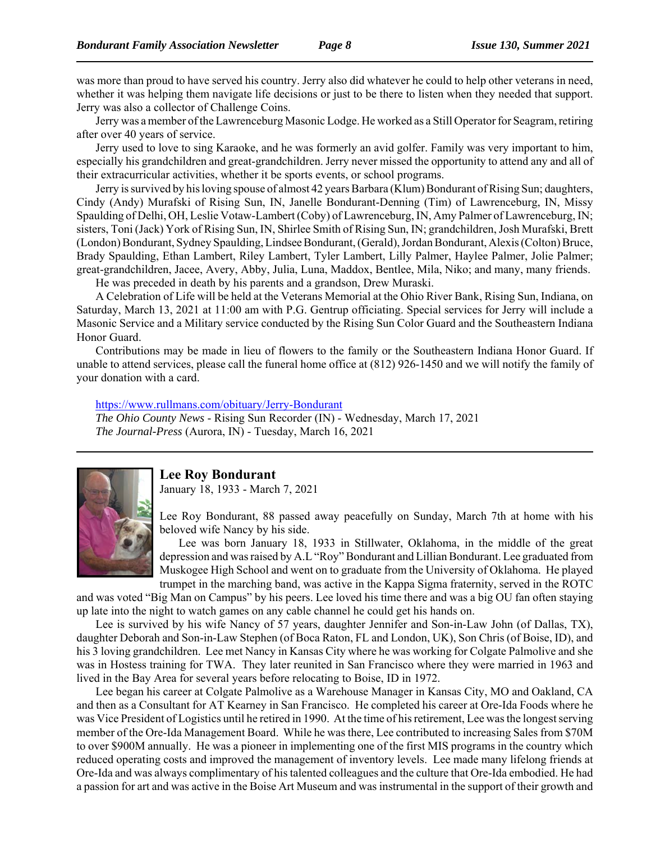was more than proud to have served his country. Jerry also did whatever he could to help other veterans in need, whether it was helping them navigate life decisions or just to be there to listen when they needed that support. Jerry was also a collector of Challenge Coins.

Jerry was a member of the Lawrenceburg Masonic Lodge. He worked as a Still Operator for Seagram, retiring after over 40 years of service.

Jerry used to love to sing Karaoke, and he was formerly an avid golfer. Family was very important to him, especially his grandchildren and great-grandchildren. Jerry never missed the opportunity to attend any and all of their extracurricular activities, whether it be sports events, or school programs.

Jerry is survived by his loving spouse of almost 42 years Barbara (Klum) Bondurant of Rising Sun; daughters, Cindy (Andy) Murafski of Rising Sun, IN, Janelle Bondurant-Denning (Tim) of Lawrenceburg, IN, Missy Spaulding of Delhi, OH, Leslie Votaw-Lambert (Coby) of Lawrenceburg, IN, Amy Palmer of Lawrenceburg, IN; sisters, Toni (Jack) York of Rising Sun, IN, Shirlee Smith of Rising Sun, IN; grandchildren, Josh Murafski, Brett (London) Bondurant, Sydney Spaulding, Lindsee Bondurant, (Gerald), Jordan Bondurant, Alexis (Colton) Bruce, Brady Spaulding, Ethan Lambert, Riley Lambert, Tyler Lambert, Lilly Palmer, Haylee Palmer, Jolie Palmer; great-grandchildren, Jacee, Avery, Abby, Julia, Luna, Maddox, Bentlee, Mila, Niko; and many, many friends.

He was preceded in death by his parents and a grandson, Drew Muraski.

A Celebration of Life will be held at the Veterans Memorial at the Ohio River Bank, Rising Sun, Indiana, on Saturday, March 13, 2021 at 11:00 am with P.G. Gentrup officiating. Special services for Jerry will include a Masonic Service and a Military service conducted by the Rising Sun Color Guard and the Southeastern Indiana Honor Guard.

Contributions may be made in lieu of flowers to the family or the Southeastern Indiana Honor Guard. If unable to attend services, please call the funeral home office at (812) 926-1450 and we will notify the family of your donation with a card.

#### https://www.rullmans.com/obituary/Jerry-Bondurant

*The Ohio County News* - Rising Sun Recorder (IN) - Wednesday, March 17, 2021 *The Journal-Press* (Aurora, IN) - Tuesday, March 16, 2021



#### **Lee Roy Bondurant**

January 18, 1933 - March 7, 2021

Lee Roy Bondurant, 88 passed away peacefully on Sunday, March 7th at home with his beloved wife Nancy by his side.

Lee was born January 18, 1933 in Stillwater, Oklahoma, in the middle of the great depression and was raised by A.L "Roy" Bondurant and Lillian Bondurant. Lee graduated from Muskogee High School and went on to graduate from the University of Oklahoma. He played trumpet in the marching band, was active in the Kappa Sigma fraternity, served in the ROTC

and was voted "Big Man on Campus" by his peers. Lee loved his time there and was a big OU fan often staying up late into the night to watch games on any cable channel he could get his hands on.

Lee is survived by his wife Nancy of 57 years, daughter Jennifer and Son-in-Law John (of Dallas, TX), daughter Deborah and Son-in-Law Stephen (of Boca Raton, FL and London, UK), Son Chris (of Boise, ID), and his 3 loving grandchildren. Lee met Nancy in Kansas City where he was working for Colgate Palmolive and she was in Hostess training for TWA. They later reunited in San Francisco where they were married in 1963 and lived in the Bay Area for several years before relocating to Boise, ID in 1972.

Lee began his career at Colgate Palmolive as a Warehouse Manager in Kansas City, MO and Oakland, CA and then as a Consultant for AT Kearney in San Francisco. He completed his career at Ore-Ida Foods where he was Vice President of Logistics until he retired in 1990. At the time of his retirement, Lee was the longest serving member of the Ore-Ida Management Board. While he was there, Lee contributed to increasing Sales from \$70M to over \$900M annually. He was a pioneer in implementing one of the first MIS programs in the country which reduced operating costs and improved the management of inventory levels. Lee made many lifelong friends at Ore-Ida and was always complimentary of his talented colleagues and the culture that Ore-Ida embodied. He had a passion for art and was active in the Boise Art Museum and was instrumental in the support of their growth and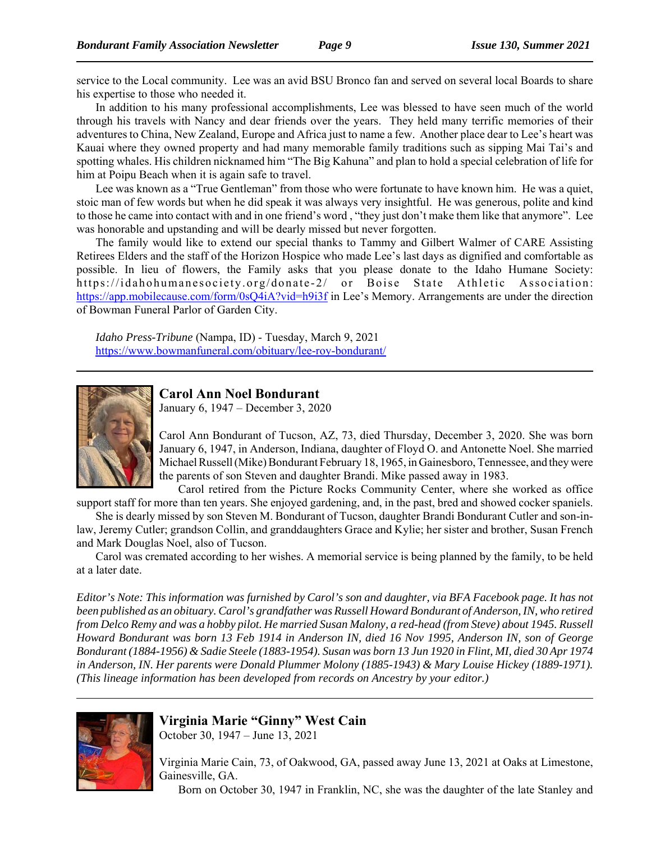service to the Local community. Lee was an avid BSU Bronco fan and served on several local Boards to share his expertise to those who needed it.

In addition to his many professional accomplishments, Lee was blessed to have seen much of the world through his travels with Nancy and dear friends over the years. They held many terrific memories of their adventures to China, New Zealand, Europe and Africa just to name a few. Another place dear to Lee's heart was Kauai where they owned property and had many memorable family traditions such as sipping Mai Tai's and spotting whales. His children nicknamed him "The Big Kahuna" and plan to hold a special celebration of life for him at Poipu Beach when it is again safe to travel.

Lee was known as a "True Gentleman" from those who were fortunate to have known him. He was a quiet, stoic man of few words but when he did speak it was always very insightful. He was generous, polite and kind to those he came into contact with and in one friend's word , "they just don't make them like that anymore". Lee was honorable and upstanding and will be dearly missed but never forgotten.

The family would like to extend our special thanks to Tammy and Gilbert Walmer of CARE Assisting Retirees Elders and the staff of the Horizon Hospice who made Lee's last days as dignified and comfortable as possible. In lieu of flowers, the Family asks that you please donate to the Idaho Humane Society: https://idahohumanesociety.org/donate-2/ or Boise State Athletic Association: https://app.mobilecause.com/form/0sQ4iA?vid=h9i3f in Lee's Memory. Arrangements are under the direction of Bowman Funeral Parlor of Garden City.

*Idaho Press-Tribune* (Nampa, ID) - Tuesday, March 9, 2021 https://www.bowmanfuneral.com/obituary/lee-roy-bondurant/



#### **Carol Ann Noel Bondurant**

January 6, 1947 – December 3, 2020

Carol Ann Bondurant of Tucson, AZ, 73, died Thursday, December 3, 2020. She was born January 6, 1947, in Anderson, Indiana, daughter of Floyd O. and Antonette Noel. She married Michael Russell (Mike) Bondurant February 18, 1965, in Gainesboro, Tennessee, and they were the parents of son Steven and daughter Brandi. Mike passed away in 1983.

Carol retired from the Picture Rocks Community Center, where she worked as office support staff for more than ten years. She enjoyed gardening, and, in the past, bred and showed cocker spaniels.

She is dearly missed by son Steven M. Bondurant of Tucson, daughter Brandi Bondurant Cutler and son-inlaw, Jeremy Cutler; grandson Collin, and granddaughters Grace and Kylie; her sister and brother, Susan French and Mark Douglas Noel, also of Tucson.

Carol was cremated according to her wishes. A memorial service is being planned by the family, to be held at a later date.

*Editor's Note: This information was furnished by Carol's son and daughter, via BFA Facebook page. It has not been published as an obituary. Carol's grandfather was Russell Howard Bondurant of Anderson, IN, who retired from Delco Remy and was a hobby pilot. He married Susan Malony, a red-head (from Steve) about 1945. Russell Howard Bondurant was born 13 Feb 1914 in Anderson IN, died 16 Nov 1995, Anderson IN, son of George Bondurant (1884-1956) & Sadie Steele (1883-1954). Susan was born 13 Jun 1920 in Flint, MI, died 30 Apr 1974 in Anderson, IN. Her parents were Donald Plummer Molony (1885-1943) & Mary Louise Hickey (1889-1971). (This lineage information has been developed from records on Ancestry by your editor.)*



## **Virginia Marie "Ginny" West Cain**

October 30, 1947 – June 13, 2021

Virginia Marie Cain, 73, of Oakwood, GA, passed away June 13, 2021 at Oaks at Limestone, Gainesville, GA.

Born on October 30, 1947 in Franklin, NC, she was the daughter of the late Stanley and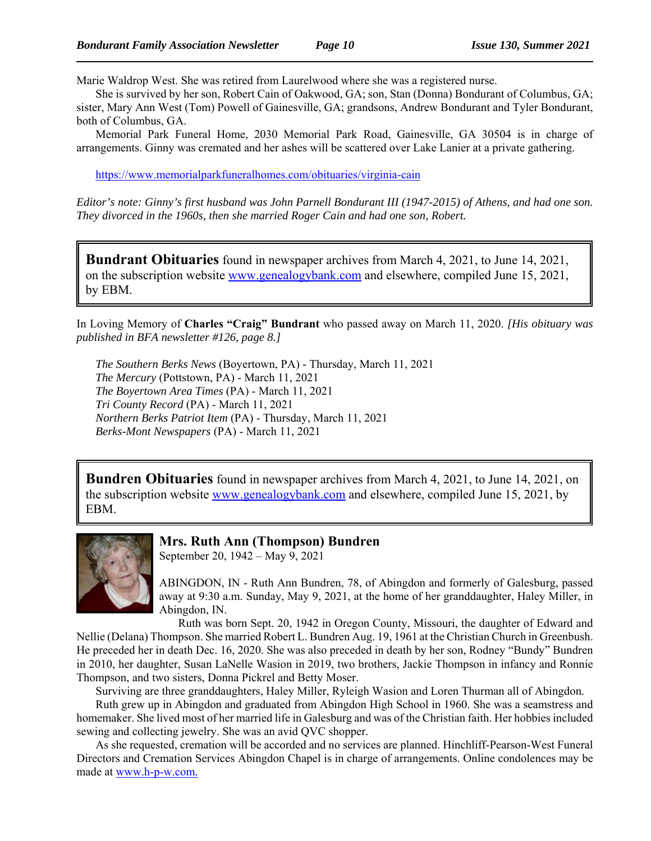Marie Waldrop West. She was retired from Laurelwood where she was a registered nurse.

She is survived by her son, Robert Cain of Oakwood, GA; son, Stan (Donna) Bondurant of Columbus, GA; sister, Mary Ann West (Tom) Powell of Gainesville, GA; grandsons, Andrew Bondurant and Tyler Bondurant, both of Columbus, GA.

Memorial Park Funeral Home, 2030 Memorial Park Road, Gainesville, GA 30504 is in charge of arrangements. Ginny was cremated and her ashes will be scattered over Lake Lanier at a private gathering.

https://www.memorialparkfuneralhomes.com/obituaries/virginia-cain

*Editor's note: Ginny's first husband was John Parnell Bondurant III (1947-2015) of Athens, and had one son. They divorced in the 1960s, then she married Roger Cain and had one son, Robert.* 

**Bundrant Obituaries** found in newspaper archives from March 4, 2021, to June 14, 2021, on the subscription website www.genealogybank.com and elsewhere, compiled June 15, 2021, by EBM.

In Loving Memory of **Charles "Craig" Bundrant** who passed away on March 11, 2020. *[His obituary was published in BFA newsletter #126, page 8.]*

*The Southern Berks News* (Boyertown, PA) - Thursday, March 11, 2021 *The Mercury* (Pottstown, PA) - March 11, 2021 *The Boyertown Area Times* (PA) - March 11, 2021 *Tri County Record* (PA) - March 11, 2021 *Northern Berks Patriot Item* (PA) - Thursday, March 11, 2021 *Berks-Mont Newspapers* (PA) - March 11, 2021

**Bundren Obituaries** found in newspaper archives from March 4, 2021, to June 14, 2021, on the subscription website www.genealogybank.com and elsewhere, compiled June 15, 2021, by EBM.



#### **Mrs. Ruth Ann (Thompson) Bundren**

September 20, 1942 – May 9, 2021

ABINGDON, IN - Ruth Ann Bundren, 78, of Abingdon and formerly of Galesburg, passed away at 9:30 a.m. Sunday, May 9, 2021, at the home of her granddaughter, Haley Miller, in Abingdon, IN.

Ruth was born Sept. 20, 1942 in Oregon County, Missouri, the daughter of Edward and Nellie (Delana) Thompson. She married Robert L. Bundren Aug. 19, 1961 at the Christian Church in Greenbush. He preceded her in death Dec. 16, 2020. She was also preceded in death by her son, Rodney "Bundy" Bundren in 2010, her daughter, Susan LaNelle Wasion in 2019, two brothers, Jackie Thompson in infancy and Ronnie Thompson, and two sisters, Donna Pickrel and Betty Moser.

Surviving are three granddaughters, Haley Miller, Ryleigh Wasion and Loren Thurman all of Abingdon.

Ruth grew up in Abingdon and graduated from Abingdon High School in 1960. She was a seamstress and homemaker. She lived most of her married life in Galesburg and was of the Christian faith. Her hobbies included sewing and collecting jewelry. She was an avid QVC shopper.

As she requested, cremation will be accorded and no services are planned. Hinchliff-Pearson-West Funeral Directors and Cremation Services Abingdon Chapel is in charge of arrangements. Online condolences may be made at www.h-p-w.com.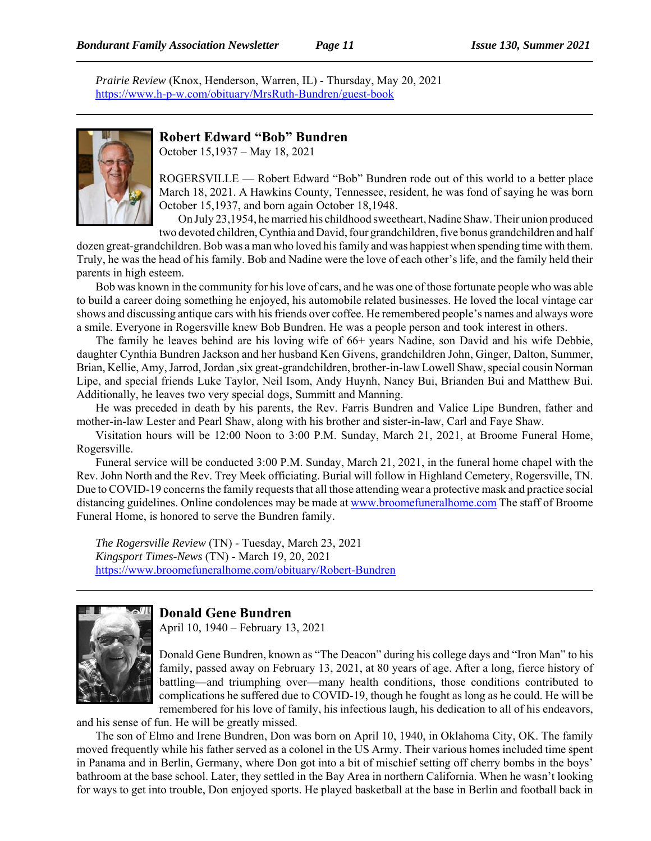*Prairie Review* (Knox, Henderson, Warren, IL) - Thursday, May 20, 2021 https://www.h-p-w.com/obituary/MrsRuth-Bundren/guest-book



#### **Robert Edward "Bob" Bundren**

October 15,1937 – May 18, 2021

ROGERSVILLE — Robert Edward "Bob" Bundren rode out of this world to a better place March 18, 2021. A Hawkins County, Tennessee, resident, he was fond of saying he was born October 15,1937, and born again October 18,1948.

On July 23,1954, he married his childhood sweetheart, Nadine Shaw. Their union produced two devoted children, Cynthia and David, four grandchildren, five bonus grandchildren and half

dozen great-grandchildren. Bob was a man who loved his family and was happiest when spending time with them. Truly, he was the head of his family. Bob and Nadine were the love of each other's life, and the family held their parents in high esteem.

Bob was known in the community for his love of cars, and he was one of those fortunate people who was able to build a career doing something he enjoyed, his automobile related businesses. He loved the local vintage car shows and discussing antique cars with his friends over coffee. He remembered people's names and always wore a smile. Everyone in Rogersville knew Bob Bundren. He was a people person and took interest in others.

The family he leaves behind are his loving wife of 66+ years Nadine, son David and his wife Debbie, daughter Cynthia Bundren Jackson and her husband Ken Givens, grandchildren John, Ginger, Dalton, Summer, Brian, Kellie, Amy, Jarrod, Jordan ,six great-grandchildren, brother-in-law Lowell Shaw, special cousin Norman Lipe, and special friends Luke Taylor, Neil Isom, Andy Huynh, Nancy Bui, Brianden Bui and Matthew Bui. Additionally, he leaves two very special dogs, Summitt and Manning.

He was preceded in death by his parents, the Rev. Farris Bundren and Valice Lipe Bundren, father and mother-in-law Lester and Pearl Shaw, along with his brother and sister-in-law, Carl and Faye Shaw.

Visitation hours will be 12:00 Noon to 3:00 P.M. Sunday, March 21, 2021, at Broome Funeral Home, Rogersville.

Funeral service will be conducted 3:00 P.M. Sunday, March 21, 2021, in the funeral home chapel with the Rev. John North and the Rev. Trey Meek officiating. Burial will follow in Highland Cemetery, Rogersville, TN. Due to COVID-19 concerns the family requests that all those attending wear a protective mask and practice social distancing guidelines. Online condolences may be made at www.broomefuneralhome.com The staff of Broome Funeral Home, is honored to serve the Bundren family.

*The Rogersville Review* (TN) - Tuesday, March 23, 2021 *Kingsport Times-News* (TN) - March 19, 20, 2021 https://www.broomefuneralhome.com/obituary/Robert-Bundren



#### **Donald Gene Bundren**

April 10, 1940 – February 13, 2021

Donald Gene Bundren, known as "The Deacon" during his college days and "Iron Man" to his family, passed away on February 13, 2021, at 80 years of age. After a long, fierce history of battling—and triumphing over—many health conditions, those conditions contributed to complications he suffered due to COVID-19, though he fought as long as he could. He will be remembered for his love of family, his infectious laugh, his dedication to all of his endeavors,

and his sense of fun. He will be greatly missed.

The son of Elmo and Irene Bundren, Don was born on April 10, 1940, in Oklahoma City, OK. The family moved frequently while his father served as a colonel in the US Army. Their various homes included time spent in Panama and in Berlin, Germany, where Don got into a bit of mischief setting off cherry bombs in the boys' bathroom at the base school. Later, they settled in the Bay Area in northern California. When he wasn't looking for ways to get into trouble, Don enjoyed sports. He played basketball at the base in Berlin and football back in